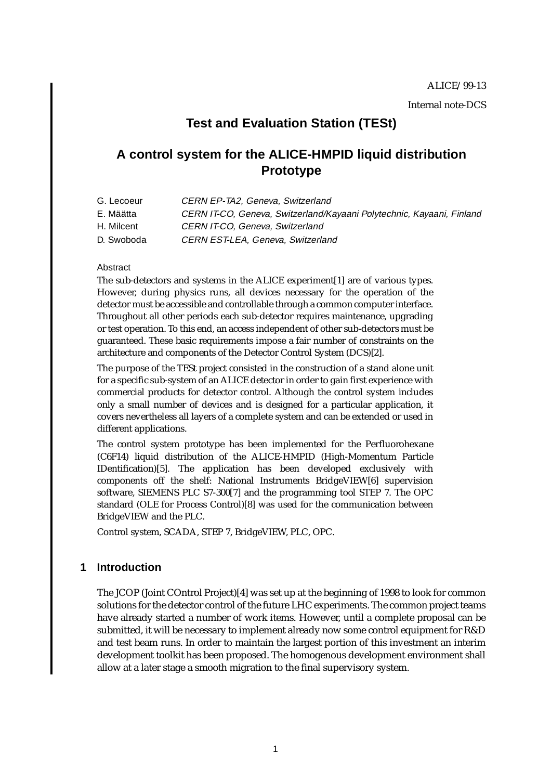# **Test and Evaluation Station (TESt)**

# **A control system for the ALICE-HMPID liquid distribution Prototype**

- G. Lecoeur CERN EP-TA2, Geneva, Switzerland
- E. Määtta CERN IT-CO, Geneva, Switzerland/Kayaani Polytechnic, Kayaani, Finland
- H. Milcent CERN IT-CO, Geneva, Switzerland
- D. Swoboda CERN EST-LEA, Geneva, Switzerland

#### Abstract

The sub-detectors and systems in the ALICE experimen[t\[1\]](#page-16-0) are of various types. However, during physics runs, all devices necessary for the operation of the detector must be accessible and controllable through a common computer interface. Throughout all other periods each sub-detector requires maintenance, upgrading or test operation. To this end, an access independent of other sub-detectors must be guaranteed. These basic requirements impose a fair number of constraints on the architecture and components of the Detector Control System (DC[S\)\[2](#page-16-0)].

The purpose of the TESt project consisted in the construction of a stand alone unit for a specific sub-system of an ALICE detector in order to gain first experience with commercial products for detector control. Although the control system includes only a small number of devices and is designed for a particular application, it covers nevertheless all layers of a complete system and can be extended or used in different applications.

The control system prototype has been implemented for the Perfluorohexane (C6F14) liquid distribution of the ALICE-HMPID (High-Momentum Particle IDentification[\)\[5\]](#page-16-0). The application has been developed exclusively with components off the shelf: National Instruments BridgeVIE[W\[6\]](#page-16-0) supervision software, SIEMENS PLC S7-300[\[7\]](#page-16-0) and the programming tool STEP 7. The OPC standard (OLE for Process Control)[\[8\]](#page-16-0) was used for the communication between BridgeVIEW and the PLC.

Control system, SCADA, STEP 7, BridgeVIEW, PLC, OPC.

# **1 Introduction**

The JCOP (Joint COntrol Project[\)\[4\]](#page-16-0) was set up at the beginning of 1998 to look for common solutions for the detector control of the future LHC experiments. The common project teams have already started a number of work items. However, until a complete proposal can be submitted, it will be necessary to implement already now some control equipment for R&D and test beam runs. In order to maintain the largest portion of this investment an interim development toolkit has been proposed. The homogenous development environment shall allow at a later stage a smooth migration to the final supervisory system.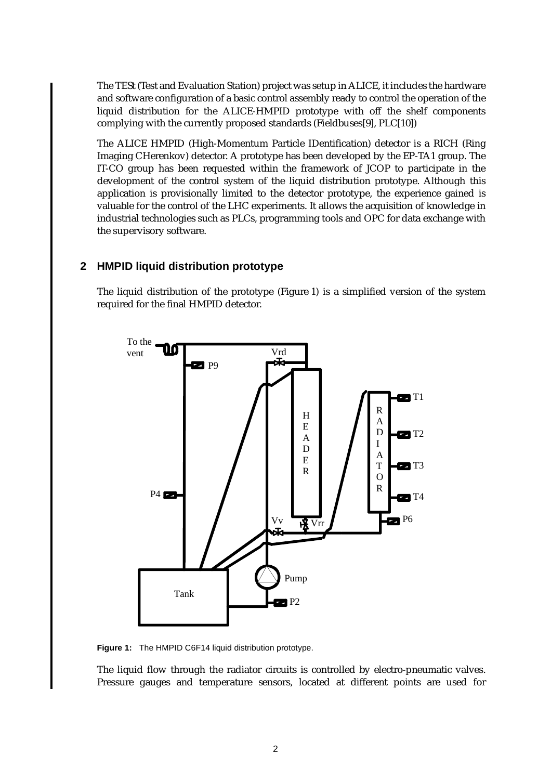The TESt (Test and Evaluation Station) project was setup in ALICE, it includes the hardware and software configuration of a basic control assembly ready to control the operation of the liquid distribution for the ALICE-HMPID prototype with off the shelf components complying with the currently proposed standards (Fieldbuse[s\[9\]](#page-16-0), PL[C\[10](#page-16-0)])

The ALICE HMPID (High-Momentum Particle IDentification) detector is a RICH (Ring Imaging CHerenkov) detector. A prototype has been developed by the EP-TA1 group. The IT-CO group has been requested within the framework of JCOP to participate in the development of the control system of the liquid distribution prototype. Although this application is provisionally limited to the detector prototype, the experience gained is valuable for the control of the LHC experiments. It allows the acquisition of knowledge in industrial technologies such as PLCs, programming tools and OPC for data exchange with the supervisory software.

## **2 HMPID liquid distribution prototype**

The liquid distribution of the prototype (Figure 1) is a simplified version of the system required for the final HMPID detector.



**Figure 1:** The HMPID C6F14 liquid distribution prototype.

The liquid flow through the radiator circuits is controlled by electro-pneumatic valves. Pressure gauges and temperature sensors, located at different points are used for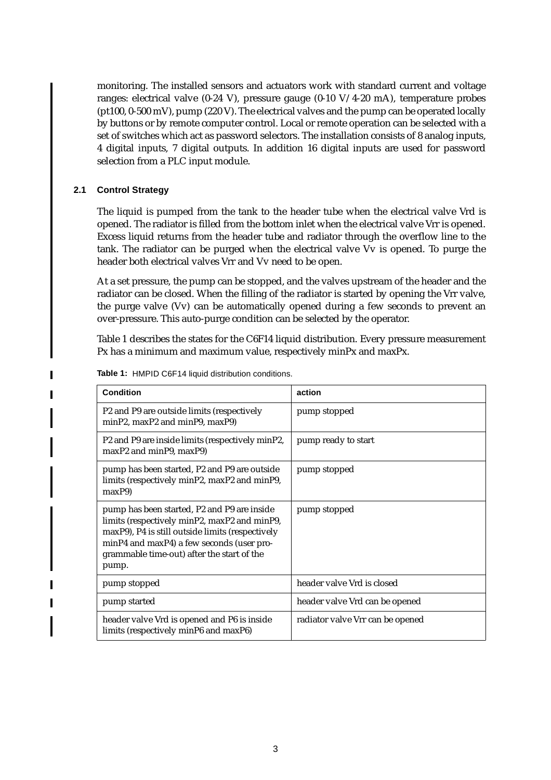<span id="page-2-0"></span>monitoring. The installed sensors and actuators work with standard current and voltage ranges: electrical valve (0-24 V), pressure gauge (0-10 V/4-20 mA), temperature probes (pt100, 0-500 mV), pump (220 V). The electrical valves and the pump can be operated locally by buttons or by remote computer control. Local or remote operation can be selected with a set of switches which act as password selectors. The installation consists of 8 analog inputs, 4 digital inputs, 7 digital outputs. In addition 16 digital inputs are used for password selection from a PLC input module.

#### **2.1 Control Strategy**

Г

The liquid is pumped from the tank to the header tube when the electrical valve Vrd is opened. The radiator is filled from the bottom inlet when the electrical valve Vrr is opened. Excess liquid returns from the header tube and radiator through the overflow line to the tank. The radiator can be purged when the electrical valve Vv is opened. To purge the header both electrical valves Vrr and Vv need to be open.

At a set pressure, the pump can be stopped, and the valves upstream of the header and the radiator can be closed. When the filling of the radiator is started by opening the Vrr valve, the purge valve (Vv) can be automatically opened during a few seconds to prevent an over-pressure. This auto-purge condition can be selected by the operator.

Table 1 describes the states for the C6F14 liquid distribution. Every pressure measurement Px has a minimum and maximum value, respectively minPx and maxPx.

| <b>Condition</b>                                                                                                                                                                                                                                    | action                           |
|-----------------------------------------------------------------------------------------------------------------------------------------------------------------------------------------------------------------------------------------------------|----------------------------------|
| P2 and P9 are outside limits (respectively<br>$minP2$ , $maxP2$ and $minP9$ , $maxP9$ )                                                                                                                                                             | pump stopped                     |
| P2 and P9 are inside limits (respectively minP2,<br>maxP2 and minP9, maxP9)                                                                                                                                                                         | pump ready to start              |
| pump has been started, P2 and P9 are outside<br>limits (respectively minP2, maxP2 and minP9,<br>maxP9                                                                                                                                               | pump stopped                     |
| pump has been started, P2 and P9 are inside<br>limits (respectively minP2, maxP2 and minP9,<br>maxP9), P4 is still outside limits (respectively<br>minP4 and maxP4) a few seconds (user pro-<br>grammable time-out) after the start of the<br>pump. | pump stopped                     |
| pump stopped                                                                                                                                                                                                                                        | header valve Vrd is closed       |
| pump started                                                                                                                                                                                                                                        | header valve Vrd can be opened   |
| header valve Vrd is opened and P6 is inside<br>limits (respectively minP6 and maxP6)                                                                                                                                                                | radiator valve Vrr can be opened |

**Table 1:** HMPID C6F14 liquid distribution conditions.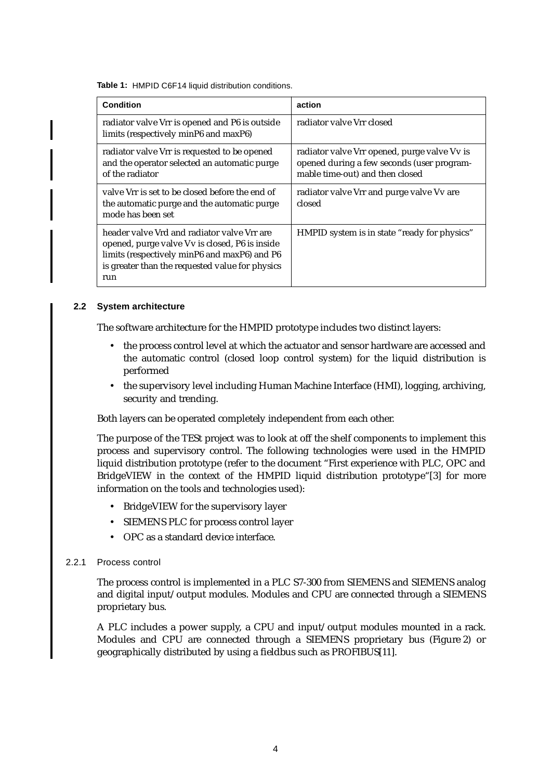**Table 1:** HMPID C6F14 liquid distribution conditions.

| Condition                                                                                                                                                                                               | action                                                                                                                        |
|---------------------------------------------------------------------------------------------------------------------------------------------------------------------------------------------------------|-------------------------------------------------------------------------------------------------------------------------------|
| radiator valve Vrr is opened and P6 is outside<br>limits (respectively minP6 and maxP6)                                                                                                                 | radiator valve Vrr closed                                                                                                     |
| radiator valve Vrr is requested to be opened<br>and the operator selected an automatic purge<br>of the radiator                                                                                         | radiator valve Vrr opened, purge valve Vv is<br>opened during a few seconds (user program-<br>mable time-out) and then closed |
| valve Vrr is set to be closed before the end of<br>the automatic purge and the automatic purge<br>mode has been set                                                                                     | radiator valve Vrr and purge valve Vv are<br>closed                                                                           |
| header valve Vrd and radiator valve Vrr are<br>opened, purge valve Vv is closed, P6 is inside<br>limits (respectively minP6 and maxP6) and P6<br>is greater than the requested value for physics<br>run | HMPID system is in state "ready for physics"                                                                                  |

#### **2.2 System architecture**

The software architecture for the HMPID prototype includes two distinct layers:

- the process control level at which the actuator and sensor hardware are accessed and the automatic control (closed loop control system) for the liquid distribution is performed
- the supervisory level including Human Machine Interface (HMI), logging, archiving, security and trending.

Both layers can be operated completely independent from each other.

The purpose of the TESt project was to look at off the shelf components to implement this process and supervisory control. The following technologies were used in the HMPID liquid distribution prototype (refer to the document "First experience with PLC, OPC and BridgeVIEW in the context of the HMPID liquid distribution prototype"[\[3\]](#page-16-0) for more information on the tools and technologies used):

- BridgeVIEW for the supervisory layer
- SIEMENS PLC for process control layer
- OPC as a standard device interface.

#### 2.2.1 Process control

The process control is implemented in a PLC S7-300 from SIEMENS and SIEMENS analog and digital input/output modules. Modules and CPU are connected through a SIEMENS proprietary bus.

A PLC includes a power supply, a CPU and input/output modules mounted in a rack. Modules and CPU are connected through a SIEMENS proprietary bus ([Figure 2](#page-4-0)) or geographically distributed by using a fieldbus such as PROFIBU[S\[11](#page-16-0)].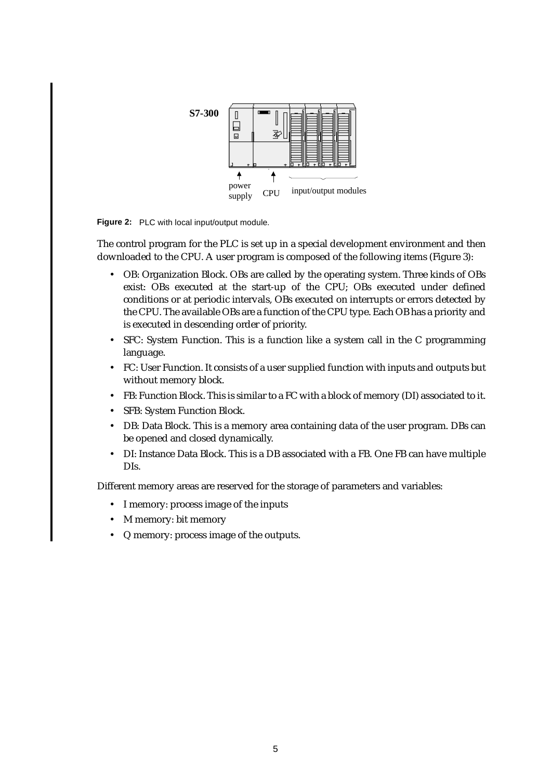<span id="page-4-0"></span>

**Figure 2:** PLC with local input/output module.

The control program for the PLC is set up in a special development environment and then downloaded to the CPU. A user program is composed of the following items [\(Figure 3](#page-5-0)):

- OB: Organization Block. OBs are called by the operating system. Three kinds of OBs exist: OBs executed at the start-up of the CPU; OBs executed under defined conditions or at periodic intervals, OBs executed on interrupts or errors detected by the CPU. The available OBs are a function of the CPU type. Each OB has a priority and is executed in descending order of priority.
- SFC: System Function. This is a function like a system call in the C programming language.
- FC: User Function. It consists of a user supplied function with inputs and outputs but without memory block.
- FB: Function Block. This is similar to a FC with a block of memory (DI) associated to it.
- SFB: System Function Block.
- DB: Data Block. This is a memory area containing data of the user program. DBs can be opened and closed dynamically.
- DI: Instance Data Block. This is a DB associated with a FB. One FB can have multiple DIs.

Different memory areas are reserved for the storage of parameters and variables:

- I memory: process image of the inputs
- M memory: bit memory
- Q memory: process image of the outputs.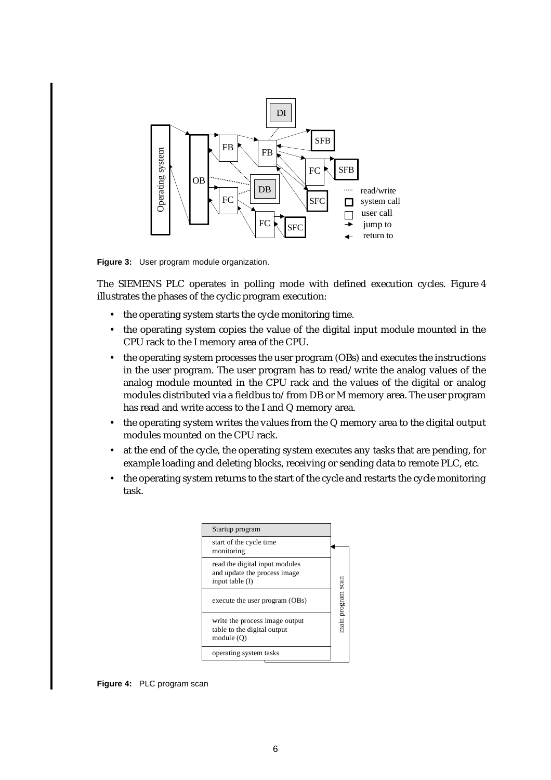<span id="page-5-0"></span>

**Figure 3:** User program module organization.

The SIEMENS PLC operates in polling mode with defined execution cycles. Figure 4 illustrates the phases of the cyclic program execution:

- the operating system starts the cycle monitoring time.
- the operating system copies the value of the digital input module mounted in the CPU rack to the I memory area of the CPU.
- the operating system processes the user program (OBs) and executes the instructions in the user program. The user program has to read/write the analog values of the analog module mounted in the CPU rack and the values of the digital or analog modules distributed via a fieldbus to/from DB or M memory area. The user program has read and write access to the I and Q memory area.
- the operating system writes the values from the Q memory area to the digital output modules mounted on the CPU rack.
- at the end of the cycle, the operating system executes any tasks that are pending, for example loading and deleting blocks, receiving or sending data to remote PLC, etc.
- the operating system returns to the start of the cycle and restarts the cycle monitoring task.



**Figure 4:** PLC program scan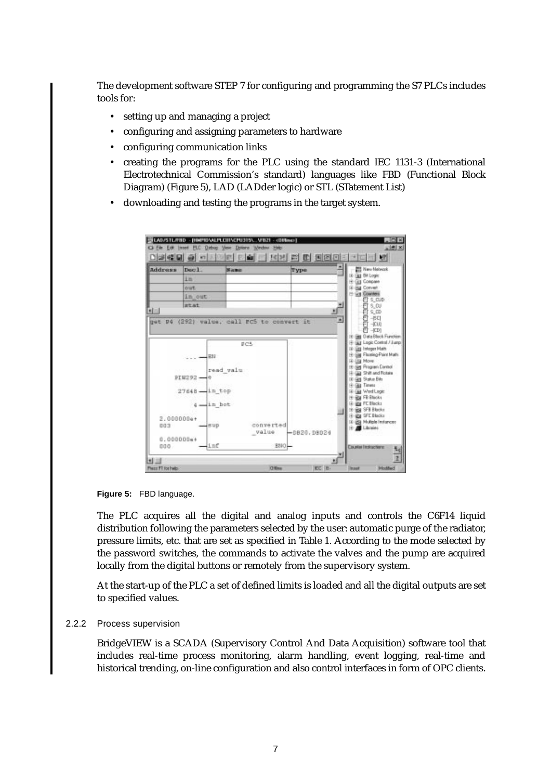The development software STEP 7 for configuring and programming the S7 PLCs includes tools for:

- setting up and managing a project
- configuring and assigning parameters to hardware
- configuring communication links
- creating the programs for the PLC using the standard IEC 1131-3 (International Electrotechnical Commission's standard) languages like FBD (Functional Block Diagram) (Figure 5), LAD (LADder logic) or STL (STatement List)
- downloading and testing the programs in the target system.



**Figure 5:** FBD language.

The PLC acquires all the digital and analog inputs and controls the C6F14 liquid distribution following the parameters selected by the user: automatic purge of the radiator, pressure limits, etc. that are set as specified in [Table 1.](#page-2-0) According to the mode selected by the password switches, the commands to activate the valves and the pump are acquired locally from the digital buttons or remotely from the supervisory system.

At the start-up of the PLC a set of defined limits is loaded and all the digital outputs are set to specified values.

#### 2.2.2 Process supervision

BridgeVIEW is a SCADA (Supervisory Control And Data Acquisition) software tool that includes real-time process monitoring, alarm handling, event logging, real-time and historical trending, on-line configuration and also control interfaces in form of OPC clients.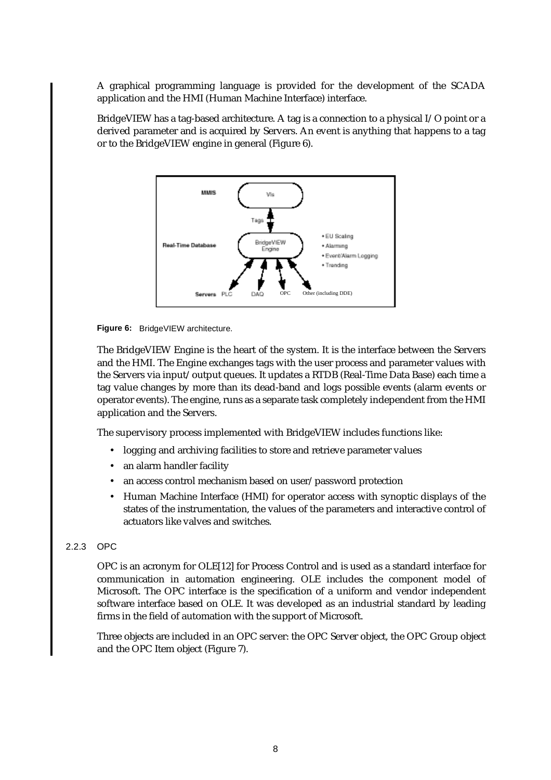A graphical programming language is provided for the development of the SCADA application and the HMI (Human Machine Interface) interface.

BridgeVIEW has a tag-based architecture. A tag is a connection to a physical I/O point or a derived parameter and is acquired by Servers. An event is anything that happens to a tag or to the BridgeVIEW engine in general (Figure 6).



**Figure 6:** BridgeVIEW architecture.

The BridgeVIEW Engine is the heart of the system. It is the interface between the Servers and the HMI. The Engine exchanges tags with the user process and parameter values with the Servers via input/output queues. It updates a RTDB (Real-Time Data Base) each time a tag value changes by more than its dead-band and logs possible events (alarm events or operator events). The engine, runs as a separate task completely independent from the HMI application and the Servers.

The supervisory process implemented with BridgeVIEW includes functions like:

- logging and archiving facilities to store and retrieve parameter values
- an alarm handler facility
- an access control mechanism based on user/password protection
- Human Machine Interface (HMI) for operator access with synoptic displays of the states of the instrumentation, the values of the parameters and interactive control of actuators like valves and switches.

#### 2.2.3 OPC

OPC is an acronym for OLE[\[12\]](#page-16-0) for Process Control and is used as a standard interface for communication in automation engineering. OLE includes the component model of Microsoft. The OPC interface is the specification of a uniform and vendor independent software interface based on OLE. It was developed as an industrial standard by leading firms in the field of automation with the support of Microsoft.

Three objects are included in an OPC server: the OPC Server object, the OPC Group object and the OPC Item object [\(Figure 7](#page-8-0)).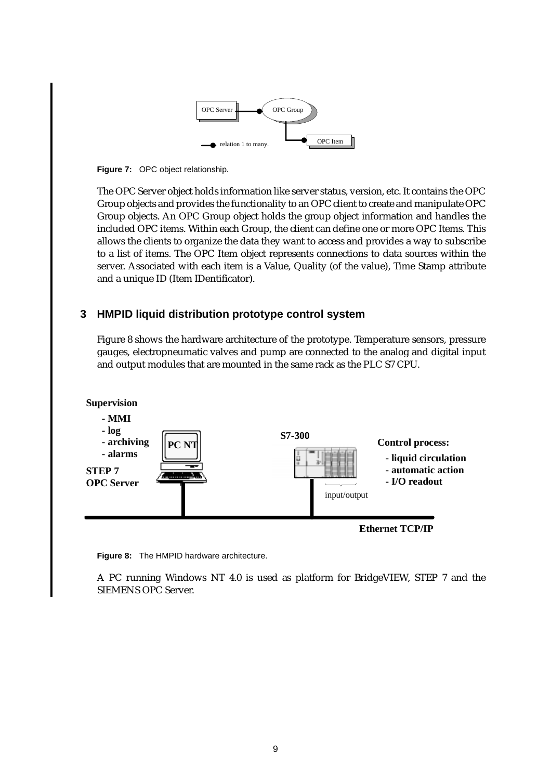

<span id="page-8-0"></span>**Figure 7:** OPC object relationship.

The OPC Server object holds information like server status, version, etc. It contains the OPC Group objects and provides the functionality to an OPC client to create and manipulate OPC Group objects. An OPC Group object holds the group object information and handles the included OPC items. Within each Group, the client can define one or more OPC Items. This allows the clients to organize the data they want to access and provides a way to subscribe to a list of items. The OPC Item object represents connections to data sources within the server. Associated with each item is a Value, Quality (of the value), Time Stamp attribute and a unique ID (Item IDentificator).

# **3 HMPID liquid distribution prototype control system**

Figure 8 shows the hardware architecture of the prototype. Temperature sensors, pressure gauges, electropneumatic valves and pump are connected to the analog and digital input and output modules that are mounted in the same rack as the PLC S7 CPU.



**Figure 8:** The HMPID hardware architecture.

A PC running Windows NT 4.0 is used as platform for BridgeVIEW, STEP 7 and the SIEMENS OPC Server.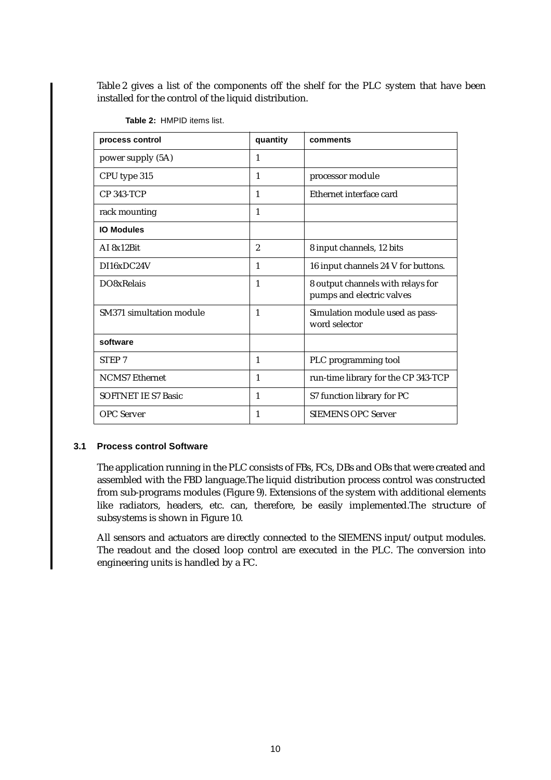Table 2 gives a list of the components off the shelf for the PLC system that have been installed for the control of the liquid distribution.

| process control            | quantity       | comments                                                       |
|----------------------------|----------------|----------------------------------------------------------------|
| power supply (5A)          | 1              |                                                                |
| CPU type 315               | 1              | processor module                                               |
| <b>CP 343-TCP</b>          | 1              | Ethernet interface card                                        |
| rack mounting              | $\mathbf{1}$   |                                                                |
| <b>IO Modules</b>          |                |                                                                |
| AI 8x12Bit                 | $\overline{2}$ | 8 input channels, 12 bits                                      |
| DI16xDC24V                 | 1              | 16 input channels 24 V for buttons.                            |
| DO8xRelais                 | 1              | 8 output channels with relays for<br>pumps and electric valves |
| SM371 simultation module   | $\mathbf{1}$   | Simulation module used as pass-<br>word selector               |
| software                   |                |                                                                |
| <b>STEP 7</b>              | 1              | PLC programming tool                                           |
| <b>NCMS7</b> Ethernet      | 1              | run-time library for the CP 343-TCP                            |
| <b>SOFTNET IE S7 Basic</b> | 1              | S7 function library for PC                                     |
| <b>OPC</b> Server          | 1              | <b>SIEMENS OPC Server</b>                                      |

**Table 2:** HMPID items list.

### **3.1 Process control Software**

The application running in the PLC consists of FBs, FCs, DBs and OBs that were created and assembled with the FBD language.The liquid distribution process control was constructed from sub-programs modules ([Figure 9\)](#page-10-0). Extensions of the system with additional elements like radiators, headers, etc. can, therefore, be easily implemented.The structure of subsystems is shown in [Figure 10](#page-10-0).

All sensors and actuators are directly connected to the SIEMENS input/output modules. The readout and the closed loop control are executed in the PLC. The conversion into engineering units is handled by a FC.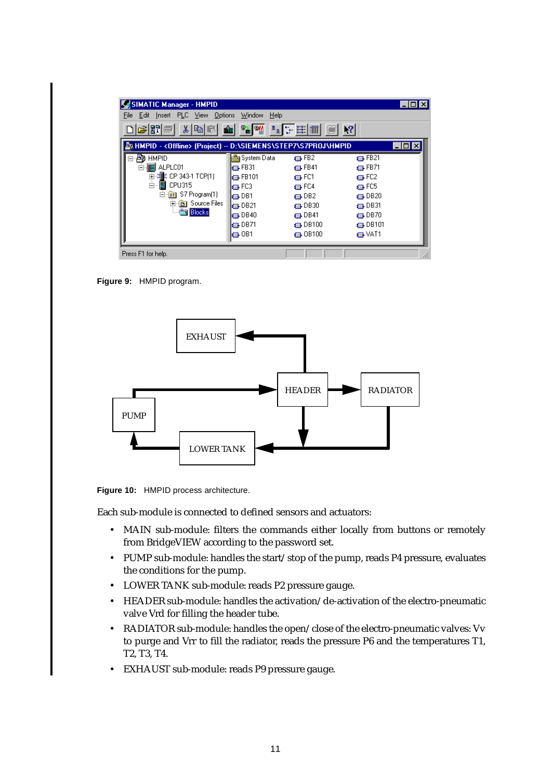<span id="page-10-0"></span>

| SIMATIC Manager - HMPID                                                    |                             |                   |                   | $\Box$ o $\mathbf{x}$ |  |  |  |  |  |
|----------------------------------------------------------------------------|-----------------------------|-------------------|-------------------|-----------------------|--|--|--|--|--|
| Edit Insert PLC View Options<br>File                                       | Help<br>Window              |                   |                   |                       |  |  |  |  |  |
| 割当<br>お国間<br>$\mathbf{r}$                                                  | $\frac{1}{\sqrt{2}}$<br>ाधी |                   | $\mathbb{R}^2$    |                       |  |  |  |  |  |
| A HMPID - < Offline> (Project) -- D:\SIEMENS\STEP7\S7PROJ\HMPID<br>- 101 × |                             |                   |                   |                       |  |  |  |  |  |
| <b>HMPID</b><br>压力                                                         | System Data                 | $\Box$ FB2        | $\leftarrow$ FB21 |                       |  |  |  |  |  |
| ALPLC01                                                                    | $\Box$ FB31                 | $\Box$ FB41       | to FB71           |                       |  |  |  |  |  |
| 匣                                                                          | $\Box$ FB101                | ⊕FC1              | ⊕FC2              |                       |  |  |  |  |  |
| Ė~<br>CPU315                                                               | l⊫ FC3                      | $\Box$ FC4        | $\Box$ FC5        |                       |  |  |  |  |  |
| S7 Program(1)<br>57                                                        | l⊫ DB1                      | $\bigoplus$ DB2   | $\oplus$ DB20     |                       |  |  |  |  |  |
| <b>B</b> Source Files<br>$\overline{+}$                                    | $\Box$ DB21                 | $\Box$ DB30       | $\oplus$ DB31     |                       |  |  |  |  |  |
| <b>Blocks</b>                                                              | $\Box$ DB40                 | $\Box$ DB41       | $\oplus$ DB70     |                       |  |  |  |  |  |
|                                                                            | $\Box$ DB71                 | $\oplus$ DB100    | $\bigoplus$ DB101 |                       |  |  |  |  |  |
|                                                                            | l⊟-081                      | $\bigoplus$ OB100 | t⊒⊦VAT1           |                       |  |  |  |  |  |
| Press F1 for help.                                                         |                             |                   |                   |                       |  |  |  |  |  |

**Figure 9:** HMPID program.



**Figure 10:** HMPID process architecture.

Each sub-module is connected to defined sensors and actuators:

- MAIN sub-module: filters the commands either locally from buttons or remotely from BridgeVIEW according to the password set.
- PUMP sub-module: handles the start/stop of the pump, reads P4 pressure, evaluates the conditions for the pump.
- LOWER TANK sub-module: reads P2 pressure gauge.
- HEADER sub-module: handles the activation/de-activation of the electro-pneumatic valve Vrd for filling the header tube.
- RADIATOR sub-module: handles the open/close of the electro-pneumatic valves: Vv to purge and Vrr to fill the radiator, reads the pressure P6 and the temperatures T1, T2, T3, T4.
- EXHAUST sub-module: reads P9 pressure gauge.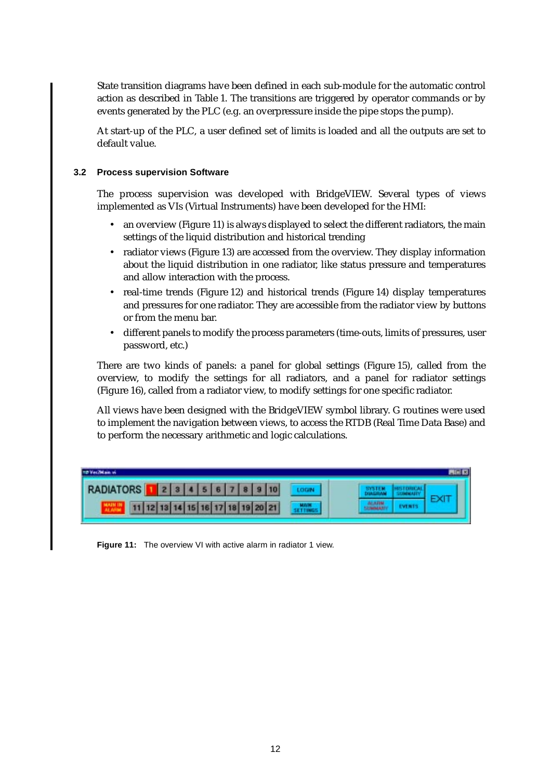State transition diagrams have been defined in each sub-module for the automatic control action as described in [Table 1.](#page-2-0) The transitions are triggered by operator commands or by events generated by the PLC (e.g. an overpressure inside the pipe stops the pump).

At start-up of the PLC, a user defined set of limits is loaded and all the outputs are set to default value.

#### **3.2 Process supervision Software**

The process supervision was developed with BridgeVIEW. Several types of views implemented as VIs (Virtual Instruments) have been developed for the HMI:

- an overview (Figure 11) is always displayed to select the different radiators, the main settings of the liquid distribution and historical trending
- radiator views [\(Figure 13\)](#page-12-0) are accessed from the overview. They display information about the liquid distribution in one radiator, like status pressure and temperatures and allow interaction with the process.
- real-time trends ([Figure 12](#page-12-0)) and historical trends [\(Figure 14](#page-13-0)) display temperatures and pressures for one radiator. They are accessible from the radiator view by buttons or from the menu bar.
- different panels to modify the process parameters (time-outs, limits of pressures, user password, etc.)

There are two kinds of panels: a panel for global settings [\(Figure 15\)](#page-13-0), called from the overview, to modify the settings for all radiators, and a panel for radiator settings [\(Figure 16](#page-13-0)), called from a radiator view, to modify settings for one specific radiator.

All views have been designed with the BridgeVIEW symbol library. G routines were used to implement the navigation between views, to access the RTDB (Real Time Data Base) and to perform the necessary arithmetic and logic calculations.

| Fec2Main vi      |  |  |  |  |                                  |  |  |
|------------------|--|--|--|--|----------------------------------|--|--|
| <b>RADIATORS</b> |  |  |  |  |                                  |  |  |
|                  |  |  |  |  | 11 12 13 14 15 16 17 18 19 20 21 |  |  |

**Figure 11:** The overview VI with active alarm in radiator 1 view.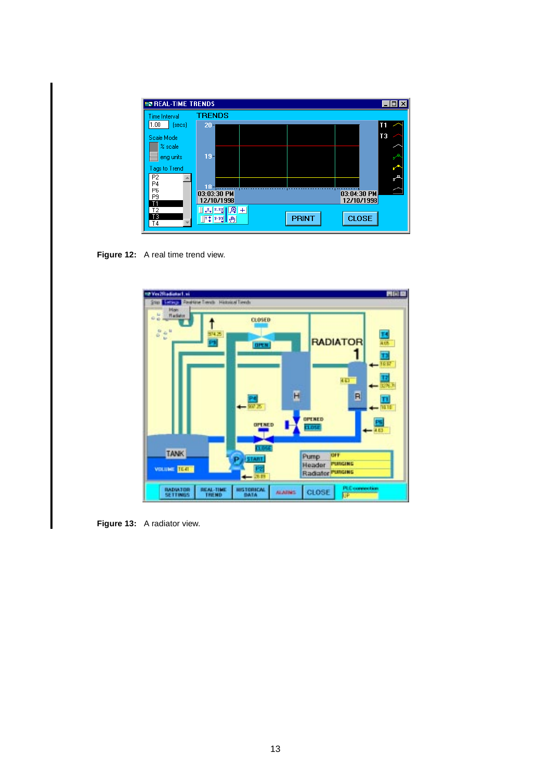<span id="page-12-0"></span>

| <b>EN REAL-TIME TRENDS</b>       |                                                   |                |
|----------------------------------|---------------------------------------------------|----------------|
| Time Interval                    | <b>TRENDS</b>                                     |                |
| 1.00<br>(secs)                   | $20 -$                                            | T1             |
| Scale Mode                       |                                                   | T <sub>3</sub> |
| % scale                          |                                                   |                |
| eng units                        | $19 -$                                            |                |
| Tags to Trend                    |                                                   |                |
| P <sub>2</sub>                   |                                                   |                |
| P4                               |                                                   |                |
| P <sub>6</sub><br>P <sub>9</sub> | 03:03:30 PM<br>03:04:30 PM                        |                |
| T1                               | 12/10/1998<br>12/10/1998                          |                |
| T <sub>2</sub><br>TЗ             | $\mathbb{F}[\mathbb{R}^n]$ . The set $\mathbb{F}$ |                |
| Τ4                               | <b>CLOSE</b><br><b>PRINT</b><br>14 55 9           |                |

Figure 12: A real time trend view.



**Figure 13:** A radiator view.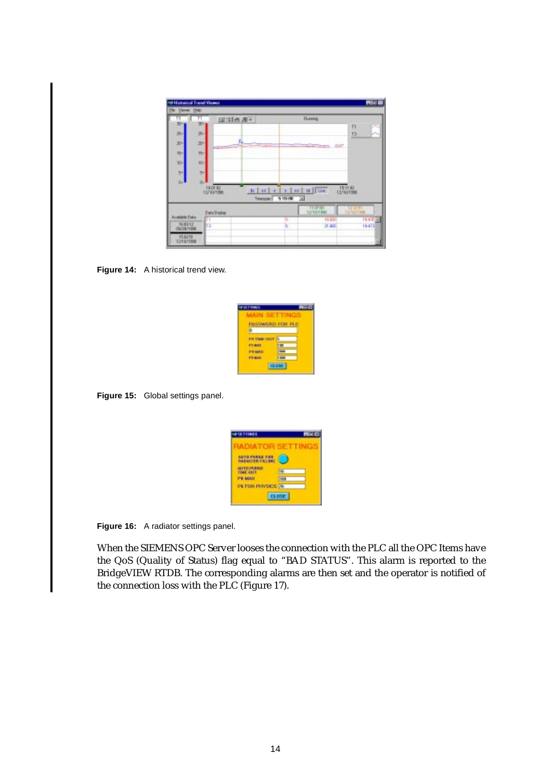<span id="page-13-0"></span>

|                       | The Variet Holo |                    |       |                                   |                              |                   |        |
|-----------------------|-----------------|--------------------|-------|-----------------------------------|------------------------------|-------------------|--------|
| 10-                   | 30              | 国国西道+              |       |                                   | Russig                       |                   |        |
|                       |                 |                    |       |                                   |                              | n                 |        |
| ж-                    | ٠               |                    |       |                                   |                              | 皿                 |        |
| $30 -$                | 30-             |                    | فيبذ  |                                   | <b>REAL AND</b>              |                   |        |
| 断                     | 听               |                    |       |                                   |                              |                   |        |
| $30-$                 | 30              |                    |       |                                   |                              |                   |        |
| 时                     | ÷.              |                    |       |                                   |                              |                   |        |
| o.                    | ò.              |                    |       |                                   |                              |                   |        |
|                       |                 | <b>18.01 82</b>    | E[48] | x                                 | $3.3214$ H                   | 151132            |        |
|                       |                 | 12/10/1998         |       | Tennium 9:10.00<br>$\overline{u}$ |                              |                   |        |
|                       |                 |                    |       |                                   | <b>TOP</b> in                |                   |        |
|                       |                 | <b>Data/Ingles</b> |       |                                   | SECTION WAS<br><b>TV 320</b> | <b>Elizaccios</b> | 指する画   |
| <b>Avalobic Data</b>  |                 |                    |       | ı                                 |                              |                   | 19.472 |
| 16.8112<br>09/28/1998 | Tт<br>ïэ        |                    |       |                                   | 21.800                       |                   |        |

Figure 14: A historical trend view.

| 119915     | ×                                    |
|------------|--------------------------------------|
|            |                                      |
| WIMMINI FO | z                                    |
|            | <b>Service Controller Controller</b> |
|            |                                      |
|            |                                      |
|            | =                                    |
|            | n.                                   |



| <b><i><i><b>DISTINES</b></i></i></b> |              |
|--------------------------------------|--------------|
| <b>IADIATOR</b>                      |              |
|                                      |              |
| 从共价的气象更迭<br><b>THE OIL</b>           | 143          |
| <b>PE MANY</b>                       | 100          |
| PE FOR PHYSICS                       | ۰            |
|                                      | <b>CLOSE</b> |

**Figure 16:** A radiator settings panel.

When the SIEMENS OPC Server looses the connection with the PLC all the OPC Items have the QoS (Quality of Status) flag equal to "BAD STATUS". This alarm is reported to the BridgeVIEW RTDB. The corresponding alarms are then set and the operator is notified of the connection loss with the PLC [\(Figure 17](#page-14-0)).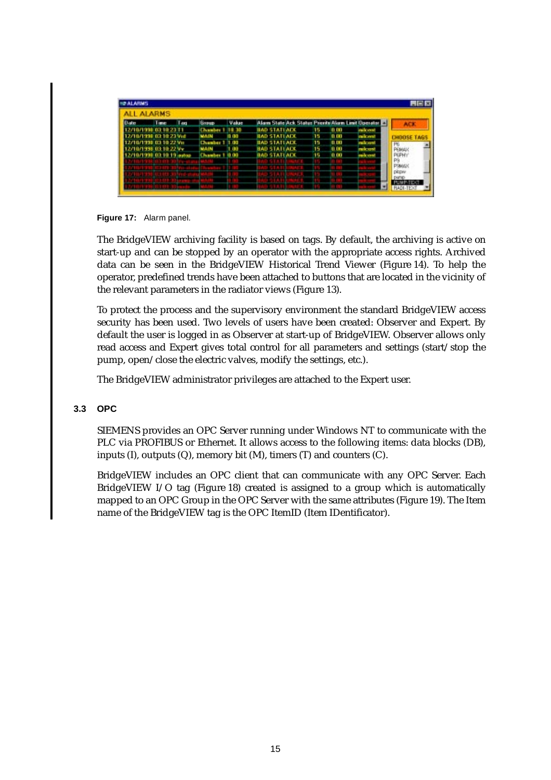<span id="page-14-0"></span>

| <b>ALL ALARMS</b><br><b>Date</b> | <b>Time</b>             | T and | <b>Group</b>          | Value |                     |  |     |      | Alam State Ack Status Priorite Alam Limit Üperator El | <b>ACK</b>                     |
|----------------------------------|-------------------------|-------|-----------------------|-------|---------------------|--|-----|------|-------------------------------------------------------|--------------------------------|
|                                  | 71071998.03.10.23.11    |       | Chamber 1 18:30       |       | <b>BAD STATIACK</b> |  | 15  | 0(1) | main credit                                           |                                |
| 2/10/1998 03:10:23 Vid           |                         |       | MAIN                  | 0.00  | <b>BAD STATUARE</b> |  | 15. | 0(1) | milk mill                                             | <b>CHOOSE TAGS</b>             |
| 2/10/1998 03:10:22 Vu            |                         |       | <b>Chamber 1 1:00</b> |       | <b>BAD STATEADE</b> |  | 15  | 0.00 | make only                                             | P6                             |
|                                  | 5/10/1998 03:10:22 Vv   |       | MAIN                  | 1.00  | <b>BAD STATEACK</b> |  | 15  | 0.00 | ra in 1970                                            | Ремар                          |
|                                  | /10/1998 03:10:19 autos |       | Chamber 1             | a aa  | <b>BAD STATEAEX</b> |  | 15  | 0.00 | mik eret                                              | P6PH <sub>1</sub>              |
|                                  |                         |       |                       |       |                     |  |     |      |                                                       | P9<br><b>DSMAG</b>             |
|                                  |                         |       |                       |       |                     |  |     |      |                                                       |                                |
|                                  |                         |       |                       |       |                     |  |     |      |                                                       | <b>DEIGHV</b><br><b>DIATIO</b> |
|                                  |                         |       |                       |       |                     |  |     |      |                                                       |                                |
|                                  |                         |       |                       |       |                     |  |     |      |                                                       |                                |

**Figure 17:** Alarm panel.

The BridgeVIEW archiving facility is based on tags. By default, the archiving is active on start-up and can be stopped by an operator with the appropriate access rights. Archived data can be seen in the BridgeVIEW Historical Trend Viewer ([Figure 14\)](#page-13-0). To help the operator, predefined trends have been attached to buttons that are located in the vicinity of the relevant parameters in the radiator views [\(Figure 13](#page-12-0)).

To protect the process and the supervisory environment the standard BridgeVIEW access security has been used. Two levels of users have been created: Observer and Expert. By default the user is logged in as Observer at start-up of BridgeVIEW. Observer allows only read access and Expert gives total control for all parameters and settings (start/stop the pump, open/close the electric valves, modify the settings, etc.).

The BridgeVIEW administrator privileges are attached to the Expert user.

#### **3.3 OPC**

SIEMENS provides an OPC Server running under Windows NT to communicate with the PLC via PROFIBUS or Ethernet. It allows access to the following items: data blocks (DB), inputs  $(I)$ , outputs  $(Q)$ , memory bit  $(M)$ , timers  $(T)$  and counters  $(C)$ .

BridgeVIEW includes an OPC client that can communicate with any OPC Server. Each BridgeVIEW I/O tag [\(Figure 18](#page-15-0)) created is assigned to a group which is automatically mapped to an OPC Group in the OPC Server with the same attributes ([Figure 19\)](#page-15-0). The Item name of the BridgeVIEW tag is the OPC ItemID (Item IDentificator).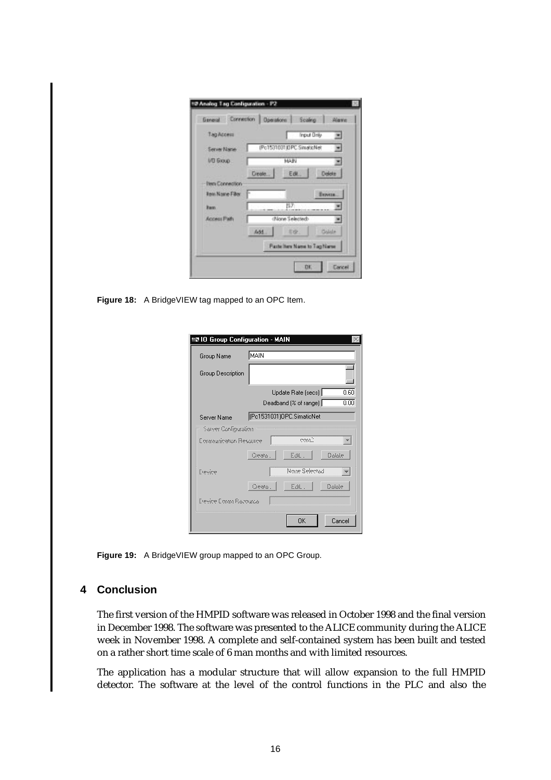<span id="page-15-0"></span>

| Тад Ассеш              | <b>Input Driv</b><br>×           |
|------------------------|----------------------------------|
| <b>Server Name</b>     | (Po1531031)DPC.SinatioNet<br>×   |
| I/D Gloup              | MAIN                             |
|                        | Delete<br>Edit.<br><b>Create</b> |
| <b>Hera Connection</b> |                                  |
| <b>Ren Name Filter</b> | <b>E</b> KNVESK                  |
| <b>Basic</b>           | 批外                               |
| Access Path            | :None Selected>                  |
|                        | Colde<br>Add.<br>石皮」             |
|                        | Paste here Name to Tag Name      |

**Figure 18:** A BridgeVIEW tag mapped to an OPC Item.

| <b>10 Group Configuration - MAIN</b>  |        |                           |        |
|---------------------------------------|--------|---------------------------|--------|
| Group Name                            | MAIN   |                           |        |
| Group Description                     |        |                           |        |
|                                       |        | Update Rate [secs]        | 0.60   |
|                                       |        | Deadband [% of range]     | 0.00   |
| Server Name                           |        | [Pc1531031]OPC.SimaticNet |        |
| Server Configuration                  |        |                           |        |
| Communication Resource                |        |                           |        |
|                                       | Oeste. | Edi.                      | Ocicie |
| Españas                               |        | Noise Selected            |        |
|                                       | Cleate | Edit.                     | Ociolo |
| <b>Exposition Citizens Processing</b> |        |                           |        |
|                                       |        | ПK                        | Cancel |

**Figure 19:** A BridgeVIEW group mapped to an OPC Group.

## **4 Conclusion**

The first version of the HMPID software was released in October 1998 and the final version in December 1998. The software was presented to the ALICE community during the ALICE week in November 1998. A complete and self-contained system has been built and tested on a rather short time scale of 6 man months and with limited resources.

The application has a modular structure that will allow expansion to the full HMPID detector. The software at the level of the control functions in the PLC and also the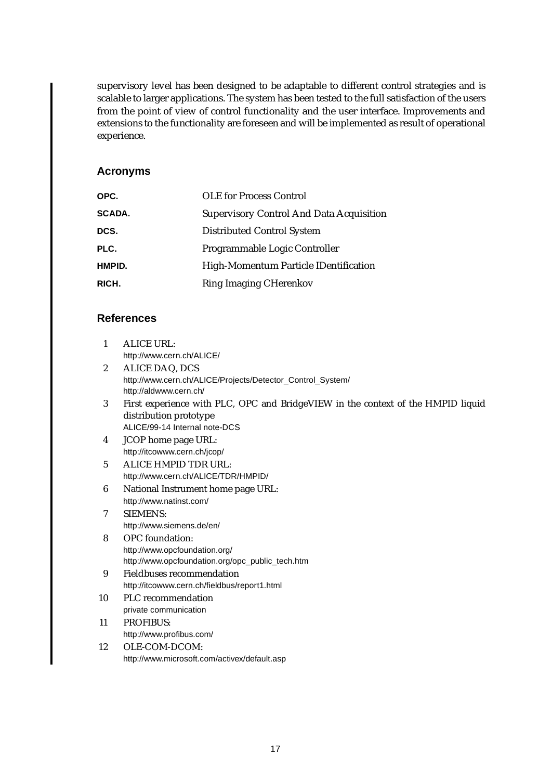<span id="page-16-0"></span>supervisory level has been designed to be adaptable to different control strategies and is scalable to larger applications. The system has been tested to the full satisfaction of the users from the point of view of control functionality and the user interface. Improvements and extensions to the functionality are foreseen and will be implemented as result of operational experience.

### **Acronyms**

| OPC.          | <b>OLE</b> for Process Control                  |
|---------------|-------------------------------------------------|
| <b>SCADA.</b> | <b>Supervisory Control And Data Acquisition</b> |
| DCS.          | <b>Distributed Control System</b>               |
| PLC.          | Programmable Logic Controller                   |
| HMPID.        | High-Momentum Particle IDentification           |
| RICH.         | <b>Ring Imaging CHerenkov</b>                   |

## **References**

- 1 ALICE URL: http://www.cern.ch/ALICE/
- 2 ALICE DAQ, DCS http://www.cern.ch/ALICE/Projects/Detector\_Control\_System/ http://aldwww.cern.ch/
- 3 First experience with PLC, OPC and BridgeVIEW in the context of the HMPID liquid distribution prototype ALICE/99-14 Internal note-DCS
- 4 JCOP home page URL: http://itcowww.cern.ch/jcop/
- 5 ALICE HMPID TDR URL: http://www.cern.ch/ALICE/TDR/HMPID/
- 6 National Instrument home page URL: http://www.natinst.com/
- 7 SIEMENS: http://www.siemens.de/en/
- 8 OPC foundation: http://www.opcfoundation.org/ http://www.opcfoundation.org/opc\_public\_tech.htm
- 9 Fieldbuses recommendation http://itcowww.cern.ch/fieldbus/report1.html
- 10 PLC recommendation private communication
- 11 PROFIBUS: http://www.profibus.com/
- 12 OLE-COM-DCOM: http://www.microsoft.com/activex/default.asp